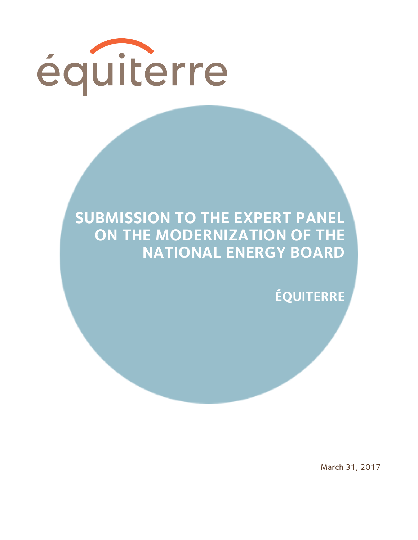

## **SUBMISSION TO THE EXPERT PANEL ON THE MODERNIZATION OF THE NATIONAL ENERGY BOARD**

**ÉQUITERRE**

March 31, 2017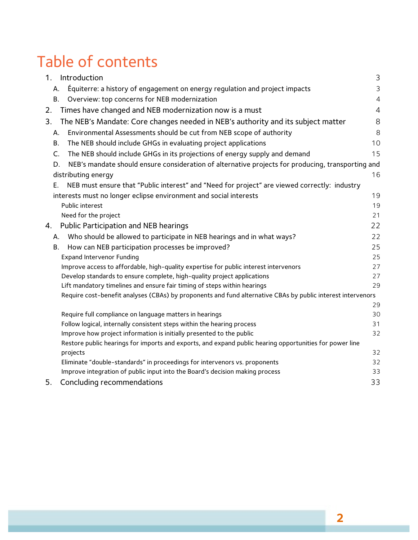# Table of contents

| 1.<br>Introduction                                                                                                                | 3              |
|-----------------------------------------------------------------------------------------------------------------------------------|----------------|
| Equiterre: a history of engagement on energy regulation and project impacts<br>А.                                                 | 3              |
| Overview: top concerns for NEB modernization<br><b>B.</b>                                                                         | $\overline{4}$ |
| Times have changed and NEB modernization now is a must<br>2.                                                                      | $\overline{4}$ |
| The NEB's Mandate: Core changes needed in NEB's authority and its subject matter<br>3.                                            | 8              |
| Environmental Assessments should be cut from NEB scope of authority<br>А.                                                         | 8              |
| The NEB should include GHGs in evaluating project applications<br><b>B.</b>                                                       | 10             |
| The NEB should include GHGs in its projections of energy supply and demand<br>C.                                                  | 15             |
| NEB's mandate should ensure consideration of alternative projects for producing, transporting and<br>D.                           |                |
| distributing energy                                                                                                               | 16             |
| NEB must ensure that "Public interest" and "Need for project" are viewed correctly: industry<br>Е.                                |                |
| interests must no longer eclipse environment and social interests                                                                 | 19             |
| Public interest                                                                                                                   | 19             |
| Need for the project                                                                                                              | 21             |
| Public Participation and NEB hearings<br>4.                                                                                       | 22             |
| Who should be allowed to participate in NEB hearings and in what ways?<br>А.                                                      | 22             |
| How can NEB participation processes be improved?<br><b>B.</b>                                                                     | 25             |
| <b>Expand Intervenor Funding</b>                                                                                                  | 25             |
| Improve access to affordable, high-quality expertise for public interest intervenors                                              | 27             |
| Develop standards to ensure complete, high-quality project applications                                                           | 27             |
| Lift mandatory timelines and ensure fair timing of steps within hearings                                                          | 29             |
| Require cost-benefit analyses (CBAs) by proponents and fund alternative CBAs by public interest intervenors                       |                |
|                                                                                                                                   | 29             |
| Require full compliance on language matters in hearings<br>Follow logical, internally consistent steps within the hearing process | 30<br>31       |
| Improve how project information is initially presented to the public                                                              | 32             |
| Restore public hearings for imports and exports, and expand public hearing opportunities for power line                           |                |
| projects                                                                                                                          | 32             |
| Eliminate "double-standards" in proceedings for intervenors vs. proponents                                                        | 32             |
| Improve integration of public input into the Board's decision making process                                                      | 33             |
| Concluding recommendations<br>5.                                                                                                  | 33             |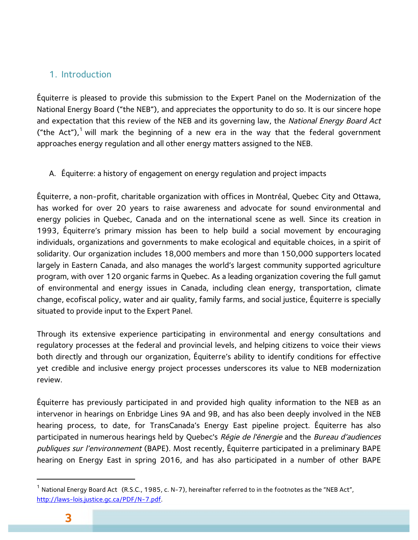### 1. Introduction

Équiterre is pleased to provide this submission to the Expert Panel on the Modernization of the National Energy Board ("the NEB"), and appreciates the opportunity to do so. It is our sincere hope and expectation that this review of the NEB and its governing law, the National Energy Board Act ("the Act"),<sup>1</sup> will mark the beginning of a new era in the way that the federal government approaches energy regulation and all other energy matters assigned to the NEB.

A. Équiterre: a history of engagement on energy regulation and project impacts

Équiterre, a non-profit, charitable organization with offices in Montréal, Quebec City and Ottawa, has worked for over 20 years to raise awareness and advocate for sound environmental and energy policies in Quebec, Canada and on the international scene as well. Since its creation in 1993, Équiterre's primary mission has been to help build a social movement by encouraging individuals, organizations and governments to make ecological and equitable choices, in a spirit of solidarity. Our organization includes 18,000 members and more than 150,000 supporters located largely in Eastern Canada, and also manages the world's largest community supported agriculture program, with over 120 organic farms in Quebec. As a leading organization covering the full gamut of environmental and energy issues in Canada, including clean energy, transportation, climate change, ecofiscal policy, water and air quality, family farms, and social justice, Équiterre is specially situated to provide input to the Expert Panel.

Through its extensive experience participating in environmental and energy consultations and regulatory processes at the federal and provincial levels, and helping citizens to voice their views both directly and through our organization, Équiterre's ability to identify conditions for effective yet credible and inclusive energy project processes underscores its value to NEB modernization review.

Équiterre has previously participated in and provided high quality information to the NEB as an intervenor in hearings on Enbridge Lines 9A and 9B, and has also been deeply involved in the NEB hearing process, to date, for TransCanada's Energy East pipeline project. Équiterre has also participated in numerous hearings held by Quebec's Régie de l'énergie and the Bureau d'audiences publiques sur l'environnement (BAPE). Most recently, Équiterre participated in a preliminary BAPE hearing on Energy East in spring 2016, and has also participated in a number of other BAPE

<sup>&</sup>lt;sup>1</sup> National Energy Board Act (R.S.C., 1985, c. N-7), hereinafter referred to in the footnotes as the "NEB Act", http://laws-lois.justice.gc.ca/PDF/N-7.pdf.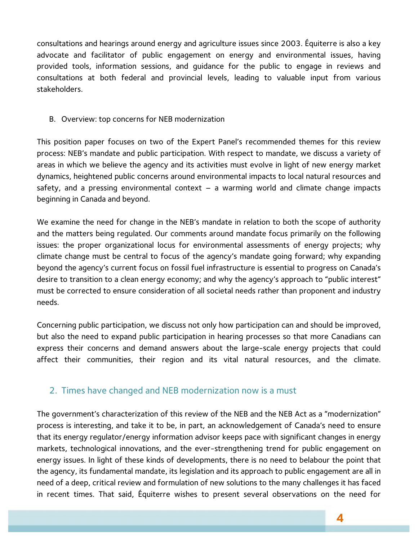consultations and hearings around energy and agriculture issues since 2003. Équiterre is also a key advocate and facilitator of public engagement on energy and environmental issues, having provided tools, information sessions, and guidance for the public to engage in reviews and consultations at both federal and provincial levels, leading to valuable input from various stakeholders.

B. Overview: top concerns for NEB modernization

This position paper focuses on two of the Expert Panel's recommended themes for this review process: NEB's mandate and public participation. With respect to mandate, we discuss a variety of areas in which we believe the agency and its activities must evolve in light of new energy market dynamics, heightened public concerns around environmental impacts to local natural resources and safety, and a pressing environmental context  $-$  a warming world and climate change impacts beginning in Canada and beyond.

We examine the need for change in the NEB's mandate in relation to both the scope of authority and the matters being regulated. Our comments around mandate focus primarily on the following issues: the proper organizational locus for environmental assessments of energy projects; why climate change must be central to focus of the agency's mandate going forward; why expanding beyond the agency's current focus on fossil fuel infrastructure is essential to progress on Canada's desire to transition to a clean energy economy; and why the agency's approach to "public interest" must be corrected to ensure consideration of all societal needs rather than proponent and industry needs.

Concerning public participation, we discuss not only how participation can and should be improved, but also the need to expand public participation in hearing processes so that more Canadians can express their concerns and demand answers about the large-scale energy projects that could affect their communities, their region and its vital natural resources, and the climate.

## 2. Times have changed and NEB modernization now is a must

The government's characterization of this review of the NEB and the NEB Act as a "modernization" process is interesting, and take it to be, in part, an acknowledgement of Canada's need to ensure that its energy regulator/energy information advisor keeps pace with significant changes in energy markets, technological innovations, and the ever-strengthening trend for public engagement on energy issues. In light of these kinds of developments, there is no need to belabour the point that the agency, its fundamental mandate, its legislation and its approach to public engagement are all in need of a deep, critical review and formulation of new solutions to the many challenges it has faced in recent times. That said, Équiterre wishes to present several observations on the need for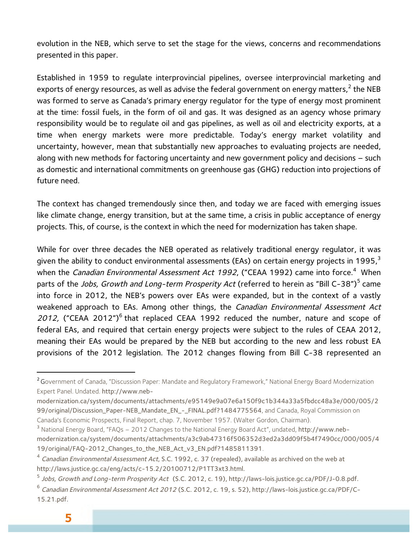evolution in the NEB, which serve to set the stage for the views, concerns and recommendations presented in this paper.

Established in 1959 to regulate interprovincial pipelines, oversee interprovincial marketing and exports of energy resources, as well as advise the federal government on energy matters.<sup>2</sup> the NEB was formed to serve as Canada's primary energy regulator for the type of energy most prominent at the time: fossil fuels, in the form of oil and gas. It was designed as an agency whose primary responsibility would be to regulate oil and gas pipelines, as well as oil and electricity exports, at a time when energy markets were more predictable. Today's energy market volatility and uncertainty, however, mean that substantially new approaches to evaluating projects are needed, along with new methods for factoring uncertainty and new government policy and decisions – such as domestic and international commitments on greenhouse gas (GHG) reduction into projections of future need.

The context has changed tremendously since then, and today we are faced with emerging issues like climate change, energy transition, but at the same time, a crisis in public acceptance of energy projects. This, of course, is the context in which the need for modernization has taken shape.

While for over three decades the NEB operated as relatively traditional energy regulator, it was given the ability to conduct environmental assessments (EAs) on certain energy projects in 1995, $3$ when the *Canadian Environmental Assessment Act 1992*, ("CEAA 1992) came into force.<sup>4</sup> When parts of the *Jobs, Growth and Long-term Prosperity Act* (referred to herein as "Bill C-38")<sup>5</sup> came into force in 2012, the NEB's powers over EAs were expanded, but in the context of a vastly weakened approach to EAs. Among other things, the Canadian Environmental Assessment Act 2012, ("CEAA 2012")<sup>6</sup> that replaced CEAA 1992 reduced the number, nature and scope of federal EAs, and required that certain energy projects were subject to the rules of CEAA 2012, meaning their EAs would be prepared by the NEB but according to the new and less robust EA provisions of the 2012 legislation. The 2012 changes flowing from Bill C-38 represented an

<sup>&</sup>lt;sup>2</sup> Government of Canada, "Discussion Paper: Mandate and Regulatory Framework," National Energy Board Modernization Expert Panel. Undated. http://www.neb-

modernization.ca/system/documents/attachments/e95149e9a07e6a150f9c1b344a33a5fbdcc48a3e/000/005/2 99/original/Discussion\_Paper-NEB\_Mandate\_EN\_-\_FINAL.pdf?1484775564, and Canada, Royal Commission on Canada's Economic Prospects, Final Report, chap. 7, November 1957. (Walter Gordon, Chairman).

<sup>3</sup> National Energy Board, "FAQs – 2012 Changes to the National Energy Board Act", undated, http://www.nebmodernization.ca/system/documents/attachments/a3c9ab47316f506352d3ed2a3dd09f5b4f7490cc/000/005/4

<sup>19/</sup>original/FAQ-2012\_Changes\_to\_the\_NEB\_Act\_v3\_EN.pdf?1485811391.

<sup>&</sup>lt;sup>4</sup> Canadian Environmental Assessment Act, S.C. 1992, c. 37 (repealed), available as archived on the web at http://laws.justice.gc.ca/eng/acts/c-15.2/20100712/P1TT3xt3.html.

<sup>&</sup>lt;sup>5</sup> Jobs, Growth and Long-term Prosperity Act (S.C. 2012, c. 19), http://laws-lois.justice.gc.ca/PDF/J-0.8.pdf.

<sup>6</sup> Canadian Environmental Assessment Act 2012 (S.C. 2012, c. 19, s. 52), http://laws-lois.justice.gc.ca/PDF/C-15.21.pdf.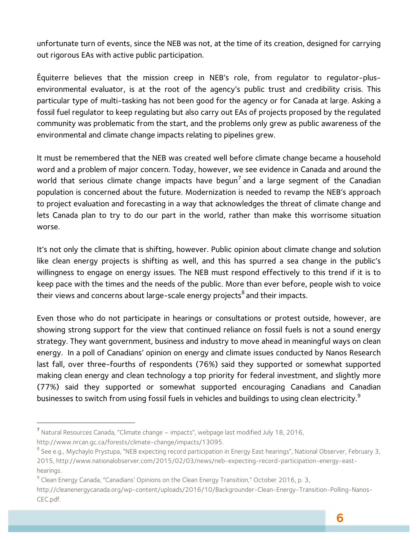unfortunate turn of events, since the NEB was not, at the time of its creation, designed for carrying out rigorous EAs with active public participation.

Équiterre believes that the mission creep in NEB's role, from regulator to regulator-plusenvironmental evaluator, is at the root of the agency's public trust and credibility crisis. This particular type of multi-tasking has not been good for the agency or for Canada at large. Asking a fossil fuel regulator to keep regulating but also carry out EAs of projects proposed by the regulated community was problematic from the start, and the problems only grew as public awareness of the environmental and climate change impacts relating to pipelines grew.

It must be remembered that the NEB was created well before climate change became a household word and a problem of major concern. Today, however, we see evidence in Canada and around the world that serious climate change impacts have begun<sup>7</sup> and a large segment of the Canadian population is concerned about the future. Modernization is needed to revamp the NEB's approach to project evaluation and forecasting in a way that acknowledges the threat of climate change and lets Canada plan to try to do our part in the world, rather than make this worrisome situation worse.

It's not only the climate that is shifting, however. Public opinion about climate change and solution like clean energy projects is shifting as well, and this has spurred a sea change in the public's willingness to engage on energy issues. The NEB must respond effectively to this trend if it is to keep pace with the times and the needs of the public. More than ever before, people wish to voice their views and concerns about large-scale energy projects $<sup>8</sup>$  and their impacts.</sup>

Even those who do not participate in hearings or consultations or protest outside, however, are showing strong support for the view that continued reliance on fossil fuels is not a sound energy strategy. They want government, business and industry to move ahead in meaningful ways on clean energy. In a poll of Canadians' opinion on energy and climate issues conducted by Nanos Research last fall, over three-fourths of respondents (76%) said they supported or somewhat supported making clean energy and clean technology a top priority for federal investment, and slightly more (77%) said they supported or somewhat supported encouraging Canadians and Canadian businesses to switch from using fossil fuels in vehicles and buildings to using clean electricity.<sup>9</sup>

<sup>7</sup> Natural Resources Canada, "Climate change – impacts", webpage last modified July 18, 2016, http://www.nrcan.gc.ca/forests/climate-change/impacts/13095.

<sup>&</sup>lt;sup>8</sup> See e.g., Mychaylo Prystupa, "NEB expecting record participation in Energy East hearings", National Observer, February 3, 2015, http://www.nationalobserver.com/2015/02/03/news/neb-expecting-record-participation-energy-east-

hearings.<br><sup>9</sup> Clean Energy Canada, "Canadians' Opinions on the Clean Energy Transition," October 2016, p. 3,

http://cleanenergycanada.org/wp-content/uploads/2016/10/Backgrounder-Clean-Energy-Transition-Polling-Nanos-CEC.pdf.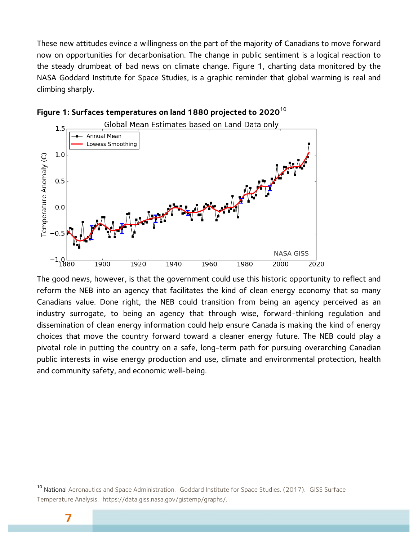These new attitudes evince a willingness on the part of the majority of Canadians to move forward now on opportunities for decarbonisation. The change in public sentiment is a logical reaction to the steady drumbeat of bad news on climate change. Figure 1, charting data monitored by the NASA Goddard Institute for Space Studies, is a graphic reminder that global warming is real and climbing sharply.





The good news, however, is that the government could use this historic opportunity to reflect and reform the NEB into an agency that facilitates the kind of clean energy economy that so many Canadians value. Done right, the NEB could transition from being an agency perceived as an industry surrogate, to being an agency that through wise, forward-thinking regulation and dissemination of clean energy information could help ensure Canada is making the kind of energy choices that move the country forward toward a cleaner energy future. The NEB could play a pivotal role in putting the country on a safe, long-term path for pursuing overarching Canadian public interests in wise energy production and use, climate and environmental protection, health and community safety, and economic well-being.

<sup>&</sup>lt;sup>10</sup> National Aeronautics and Space Administration. Goddard Institute for Space Studies. (2017). GISS Surface Temperature Analysis. https://data.giss.nasa.gov/gistemp/graphs/.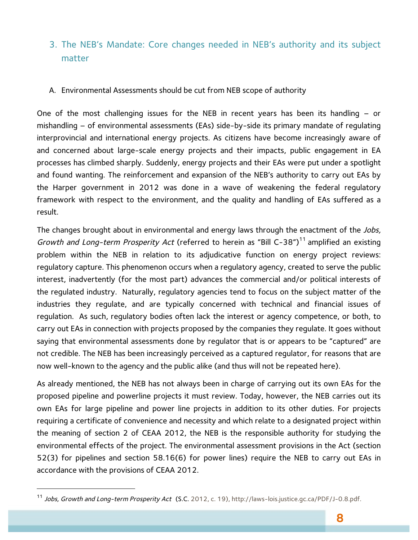## 3. The NEB's Mandate: Core changes needed in NEB's authority and its subject matter

#### A. Environmental Assessments should be cut from NEB scope of authority

One of the most challenging issues for the NEB in recent years has been its handling – or mishandling – of environmental assessments (EAs) side-by-side its primary mandate of regulating interprovincial and international energy projects. As citizens have become increasingly aware of and concerned about large-scale energy projects and their impacts, public engagement in EA processes has climbed sharply. Suddenly, energy projects and their EAs were put under a spotlight and found wanting. The reinforcement and expansion of the NEB's authority to carry out EAs by the Harper government in 2012 was done in a wave of weakening the federal regulatory framework with respect to the environment, and the quality and handling of EAs suffered as a result.

The changes brought about in environmental and energy laws through the enactment of the Jobs, Growth and Long-term Prosperity Act (referred to herein as "Bill C-38")<sup>11</sup> amplified an existing problem within the NEB in relation to its adjudicative function on energy project reviews: regulatory capture. This phenomenon occurs when a regulatory agency, created to serve the public interest, inadvertently (for the most part) advances the commercial and/or political interests of the regulated industry. Naturally, regulatory agencies tend to focus on the subject matter of the industries they regulate, and are typically concerned with technical and financial issues of regulation. As such, regulatory bodies often lack the interest or agency competence, or both, to carry out EAs in connection with projects proposed by the companies they regulate. It goes without saying that environmental assessments done by regulator that is or appears to be "captured" are not credible. The NEB has been increasingly perceived as a captured regulator, for reasons that are now well-known to the agency and the public alike (and thus will not be repeated here).

As already mentioned, the NEB has not always been in charge of carrying out its own EAs for the proposed pipeline and powerline projects it must review. Today, however, the NEB carries out its own EAs for large pipeline and power line projects in addition to its other duties. For projects requiring a certificate of convenience and necessity and which relate to a designated project within the meaning of section 2 of CEAA 2012, the NEB is the responsible authority for studying the environmental effects of the project. The environmental assessment provisions in the Act (section 52(3) for pipelines and section 58.16(6) for power lines) require the NEB to carry out EAs in accordance with the provisions of CEAA 2012.

<sup>&</sup>lt;sup>11</sup> Jobs, Growth and Long-term Prosperity Act (S.C. 2012, c. 19), http://laws-lois.justice.gc.ca/PDF/J-0.8.pdf.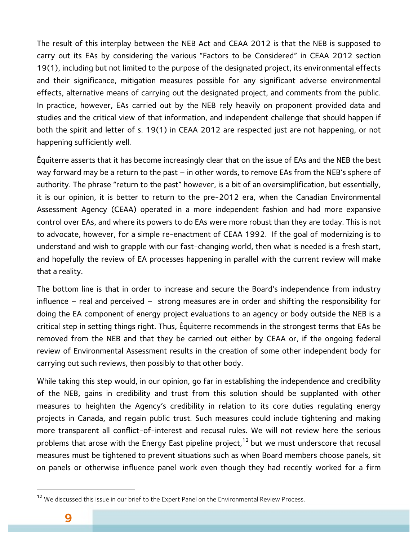The result of this interplay between the NEB Act and CEAA 2012 is that the NEB is supposed to carry out its EAs by considering the various "Factors to be Considered" in CEAA 2012 section 19(1), including but not limited to the purpose of the designated project, its environmental effects and their significance, mitigation measures possible for any significant adverse environmental effects, alternative means of carrying out the designated project, and comments from the public. In practice, however, EAs carried out by the NEB rely heavily on proponent provided data and studies and the critical view of that information, and independent challenge that should happen if both the spirit and letter of s. 19(1) in CEAA 2012 are respected just are not happening, or not happening sufficiently well.

Équiterre asserts that it has become increasingly clear that on the issue of EAs and the NEB the best way forward may be a return to the past – in other words, to remove EAs from the NEB's sphere of authority. The phrase "return to the past" however, is a bit of an oversimplification, but essentially, it is our opinion, it is better to return to the pre-2012 era, when the Canadian Environmental Assessment Agency (CEAA) operated in a more independent fashion and had more expansive control over EAs, and where its powers to do EAs were more robust than they are today. This is not to advocate, however, for a simple re-enactment of CEAA 1992. If the goal of modernizing is to understand and wish to grapple with our fast-changing world, then what is needed is a fresh start, and hopefully the review of EA processes happening in parallel with the current review will make that a reality.

The bottom line is that in order to increase and secure the Board's independence from industry influence – real and perceived – strong measures are in order and shifting the responsibility for doing the EA component of energy project evaluations to an agency or body outside the NEB is a critical step in setting things right. Thus, Équiterre recommends in the strongest terms that EAs be removed from the NEB and that they be carried out either by CEAA or, if the ongoing federal review of Environmental Assessment results in the creation of some other independent body for carrying out such reviews, then possibly to that other body.

While taking this step would, in our opinion, go far in establishing the independence and credibility of the NEB, gains in credibility and trust from this solution should be supplanted with other measures to heighten the Agency's credibility in relation to its core duties regulating energy projects in Canada, and regain public trust. Such measures could include tightening and making more transparent all conflict-of-interest and recusal rules. We will not review here the serious problems that arose with the Energy East pipeline project,<sup>12</sup> but we must underscore that recusal measures must be tightened to prevent situations such as when Board members choose panels, sit on panels or otherwise influence panel work even though they had recently worked for a firm

<sup>&</sup>lt;sup>12</sup> We discussed this issue in our brief to the Expert Panel on the Environmental Review Process.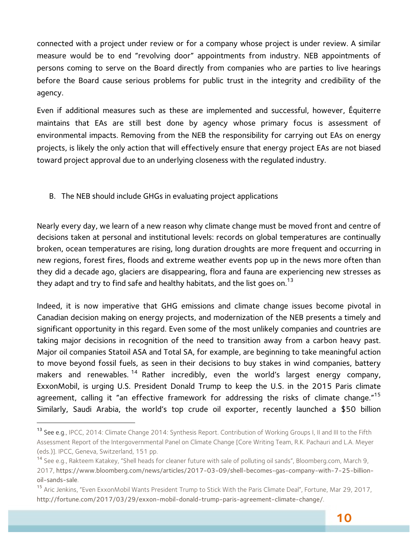connected with a project under review or for a company whose project is under review. A similar measure would be to end "revolving door" appointments from industry. NEB appointments of persons coming to serve on the Board directly from companies who are parties to live hearings before the Board cause serious problems for public trust in the integrity and credibility of the agency.

Even if additional measures such as these are implemented and successful, however, Équiterre maintains that EAs are still best done by agency whose primary focus is assessment of environmental impacts. Removing from the NEB the responsibility for carrying out EAs on energy projects, is likely the only action that will effectively ensure that energy project EAs are not biased toward project approval due to an underlying closeness with the regulated industry.

B. The NEB should include GHGs in evaluating project applications

 $\overline{a}$ 

Nearly every day, we learn of a new reason why climate change must be moved front and centre of decisions taken at personal and institutional levels: records on global temperatures are continually broken, ocean temperatures are rising, long duration droughts are more frequent and occurring in new regions, forest fires, floods and extreme weather events pop up in the news more often than they did a decade ago, glaciers are disappearing, flora and fauna are experiencing new stresses as they adapt and try to find safe and healthy habitats, and the list goes on.<sup>13</sup>

Indeed, it is now imperative that GHG emissions and climate change issues become pivotal in Canadian decision making on energy projects, and modernization of the NEB presents a timely and significant opportunity in this regard. Even some of the most unlikely companies and countries are taking major decisions in recognition of the need to transition away from a carbon heavy past. Major oil companies Statoil ASA and Total SA, for example, are beginning to take meaningful action to move beyond fossil fuels, as seen in their decisions to buy stakes in wind companies, battery makers and renewables.<sup>14</sup> Rather incredibly, even the world's largest energy company, ExxonMobil, is urging U.S. President Donald Trump to keep the U.S. in the 2015 Paris climate agreement, calling it "an effective framework for addressing the risks of climate change."<sup>15</sup> Similarly, Saudi Arabia, the world's top crude oil exporter, recently launched a \$50 billion

<sup>13</sup> See e.g., IPCC, 2014: Climate Change 2014: Synthesis Report. Contribution of Working Groups I, II and III to the Fifth Assessment Report of the Intergovernmental Panel on Climate Change [Core Writing Team, R.K. Pachauri and L.A. Meyer (eds.)]. IPCC, Geneva, Switzerland, 151 pp.

<sup>&</sup>lt;sup>14</sup> See e.g., Rakteem Katakey, "Shell heads for cleaner future with sale of polluting oil sands", Bloomberg.com, March 9, 2017, https://www.bloomberg.com/news/articles/2017-03-09/shell-becomes-gas-company-with-7-25-billionoil-sands-sale.

<sup>&</sup>lt;sup>15</sup> Aric Jenkins, "Even ExxonMobil Wants President Trump to Stick With the Paris Climate Deal", Fortune, Mar 29, 2017, http://fortune.com/2017/03/29/exxon-mobil-donald-trump-paris-agreement-climate-change/.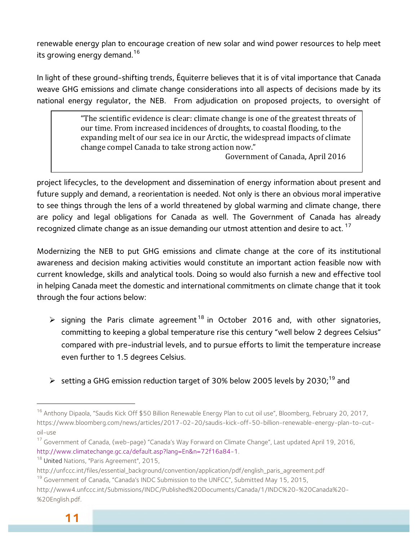renewable energy plan to encourage creation of new solar and wind power resources to help meet its growing energy demand.<sup>16</sup>

In light of these ground-shifting trends, Équiterre believes that it is of vital importance that Canada weave GHG emissions and climate change considerations into all aspects of decisions made by its national energy regulator, the NEB. From adjudication on proposed projects, to oversight of

> "The scientific evidence is clear: climate change is one of the greatest threats of our time. From increased incidences of droughts, to coastal flooding, to the expanding melt of our sea ice in our Arctic, the widespread impacts of climate change compel Canada to take strong action now."

Government of Canada, April 2016

project lifecycles, to the development and dissemination of energy information about present and future supply and demand, a reorientation is needed. Not only is there an obvious moral imperative to see things through the lens of a world threatened by global warming and climate change, there are policy and legal obligations for Canada as well. The Government of Canada has already recognized climate change as an issue demanding our utmost attention and desire to act.<sup>17</sup>

Modernizing the NEB to put GHG emissions and climate change at the core of its institutional awareness and decision making activities would constitute an important action feasible now with current knowledge, skills and analytical tools. Doing so would also furnish a new and effective tool in helping Canada meet the domestic and international commitments on climate change that it took through the four actions below:

- $\triangleright$  signing the Paris climate agreement<sup>18</sup> in October 2016 and, with other signatories, committing to keeping a global temperature rise this century "well below 2 degrees Celsius" compared with pre-industrial levels, and to pursue efforts to limit the temperature increase even further to 1.5 degrees Celsius.
- $\triangleright$  setting a GHG emission reduction target of 30% below 2005 levels by 2030;<sup>19</sup> and

<sup>&</sup>lt;sup>16</sup> Anthony Dipaola, "Saudis Kick Off \$50 Billion Renewable Energy Plan to cut oil use", Bloomberg, February 20, 2017, https://www.bloomberg.com/news/articles/2017-02-20/saudis-kick-off-50-billion-renewable-energy-plan-to-cutoil-use

<sup>&</sup>lt;sup>17</sup> Government of Canada, (web-page) "Canada's Way Forward on Climate Change", Last updated April 19, 2016, http://www.climatechange.gc.ca/default.asp?lang=En&n=72f16a84-1.<br><sup>18</sup> United Nations, "Paris Agreement", 2015,

http://unfccc.int/files/essential\_background/convention/application/pdf/english\_paris\_agreement.pdf

<sup>&</sup>lt;sup>19</sup> Government of Canada, "Canada's INDC Submission to the UNFCC", Submitted May 15, 2015,

http://www4.unfccc.int/Submissions/INDC/Published%20Documents/Canada/1/INDC%20-%20Canada%20- %20English.pdf.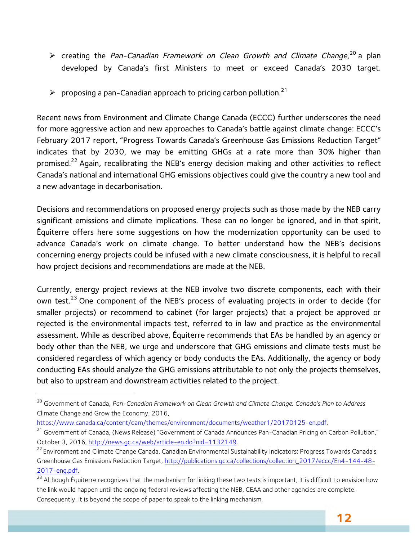- $\triangleright$  creating the Pan-Canadian Framework on Clean Growth and Climate Change,  $^{20}$  a plan developed by Canada's first Ministers to meet or exceed Canada's 2030 target.
- $\triangleright$  proposing a pan-Canadian approach to pricing carbon pollution.<sup>21</sup>

Recent news from Environment and Climate Change Canada (ECCC) further underscores the need for more aggressive action and new approaches to Canada's battle against climate change: ECCC's February 2017 report, "Progress Towards Canada's Greenhouse Gas Emissions Reduction Target" indicates that by 2030, we may be emitting GHGs at a rate more than 30% higher than promised.<sup>22</sup> Again, recalibrating the NEB's energy decision making and other activities to reflect Canada's national and international GHG emissions objectives could give the country a new tool and a new advantage in decarbonisation.

Decisions and recommendations on proposed energy projects such as those made by the NEB carry significant emissions and climate implications. These can no longer be ignored, and in that spirit, Équiterre offers here some suggestions on how the modernization opportunity can be used to advance Canada's work on climate change. To better understand how the NEB's decisions concerning energy projects could be infused with a new climate consciousness, it is helpful to recall how project decisions and recommendations are made at the NEB.

Currently, energy project reviews at the NEB involve two discrete components, each with their own test.<sup>23</sup> One component of the NEB's process of evaluating projects in order to decide (for smaller projects) or recommend to cabinet (for larger projects) that a project be approved or rejected is the environmental impacts test, referred to in law and practice as the environmental assessment. While as described above, Équiterre recommends that EAs be handled by an agency or body other than the NEB, we urge and underscore that GHG emissions and climate tests must be considered regardless of which agency or body conducts the EAs. Additionally, the agency or body conducting EAs should analyze the GHG emissions attributable to not only the projects themselves, but also to upstream and downstream activities related to the project.

https://www.canada.ca/content/dam/themes/environment/documents/weather1/20170125-en.pdf.<br><sup>21</sup> Government of Canada, (News Release) "Government of Canada Announces Pan-Canadian Pricing on Carbon Pollution,"

<sup>20</sup> Government of Canada, *Pan-Canadian Framework on Clean Growth and Climate Change: Canada's Plan to Address*  Climate Change and Grow the Economy, 2016,

October 3, 2016, http://news.gc.ca/web/article-en.do?nid=1132149.<br><sup>22</sup> Environment and Climate Change Canada, Canadian Environmental Sustainability Indicators: Progress Towards Canada's

Greenhouse Gas Emissions Reduction Target, http://publications.gc.ca/collections/collection\_2017/eccc/En4-144-48- 2017-eng.pdf.<br><sup>23</sup> Although Équiterre recognizes that the mechanism for linking these two tests is important, it is difficult to envision how

the link would happen until the ongoing federal reviews affecting the NEB, CEAA and other agencies are complete. Consequently, it is beyond the scope of paper to speak to the linking mechanism.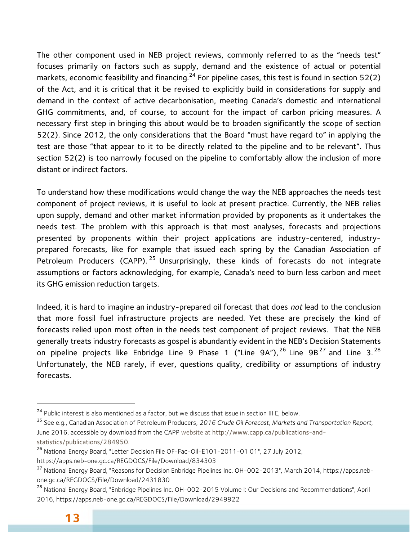The other component used in NEB project reviews, commonly referred to as the "needs test" focuses primarily on factors such as supply, demand and the existence of actual or potential markets, economic feasibility and financing.<sup>24</sup> For pipeline cases, this test is found in section 52(2) of the Act, and it is critical that it be revised to explicitly build in considerations for supply and demand in the context of active decarbonisation, meeting Canada's domestic and international GHG commitments, and, of course, to account for the impact of carbon pricing measures. A necessary first step in bringing this about would be to broaden significantly the scope of section 52(2). Since 2012, the only considerations that the Board "must have regard to" in applying the test are those "that appear to it to be directly related to the pipeline and to be relevant". Thus section 52(2) is too narrowly focused on the pipeline to comfortably allow the inclusion of more distant or indirect factors.

To understand how these modifications would change the way the NEB approaches the needs test component of project reviews, it is useful to look at present practice. Currently, the NEB relies upon supply, demand and other market information provided by proponents as it undertakes the needs test. The problem with this approach is that most analyses, forecasts and projections presented by proponents within their project applications are industry-centered, industryprepared forecasts, like for example that issued each spring by the Canadian Association of Petroleum Producers (CAPP).<sup>25</sup> Unsurprisingly, these kinds of forecasts do not integrate assumptions or factors acknowledging, for example, Canada's need to burn less carbon and meet its GHG emission reduction targets.

Indeed, it is hard to imagine an industry-prepared oil forecast that does not lead to the conclusion that more fossil fuel infrastructure projects are needed. Yet these are precisely the kind of forecasts relied upon most often in the needs test component of project reviews. That the NEB generally treats industry forecasts as gospel is abundantly evident in the NEB's Decision Statements on pipeline projects like Enbridge Line 9 Phase 1 ("Line  $9A''$ ),  $^{26}$  Line  $9B^{27}$  and Line 3.  $^{28}$ Unfortunately, the NEB rarely, if ever, questions quality, credibility or assumptions of industry forecasts.

<sup>&</sup>lt;sup>24</sup> Public interest is also mentioned as a factor, but we discuss that issue in section III E, below.

<sup>25</sup> See e.g., Canadian Association of Petroleum Producers, *2016 Crude Oil Forecast, Markets and Transportation Report*, June 2016, accessible by download from the CAPP website at http://www.capp.ca/publications-andstatistics/publications/284950.

<sup>&</sup>lt;sup>26</sup> National Energy Board, "Letter Decision File OF-Fac-Oil-E101-2011-01 01", 27 July 2012,

https://apps.neb-one.gc.ca/REGDOCS/File/Download/834303

<sup>&</sup>lt;sup>27</sup> National Energy Board, "Reasons for Decision Enbridge Pipelines Inc. OH-002-2013", March 2014, https://apps.nebone.gc.ca/REGDOCS/File/Download/2431830

<sup>28</sup> National Energy Board, "Enbridge Pipelines Inc. OH-002-2015 Volume I: Our Decisions and Recommendations", April 2016, https://apps.neb-one.gc.ca/REGDOCS/File/Download/2949922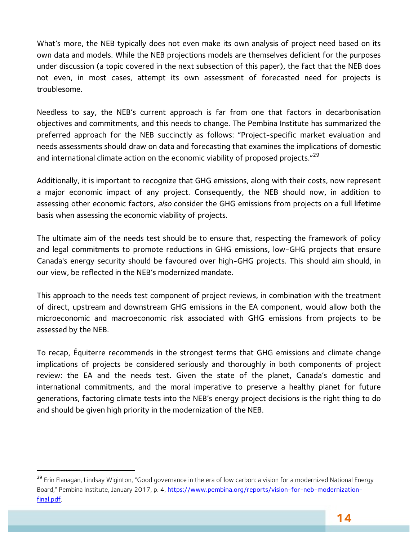What's more, the NEB typically does not even make its own analysis of project need based on its own data and models. While the NEB projections models are themselves deficient for the purposes under discussion (a topic covered in the next subsection of this paper), the fact that the NEB does not even, in most cases, attempt its own assessment of forecasted need for projects is troublesome.

Needless to say, the NEB's current approach is far from one that factors in decarbonisation objectives and commitments, and this needs to change. The Pembina Institute has summarized the preferred approach for the NEB succinctly as follows: "Project-specific market evaluation and needs assessments should draw on data and forecasting that examines the implications of domestic and international climate action on the economic viability of proposed projects."<sup>29</sup>

Additionally, it is important to recognize that GHG emissions, along with their costs, now represent a major economic impact of any project. Consequently, the NEB should now, in addition to assessing other economic factors, also consider the GHG emissions from projects on a full lifetime basis when assessing the economic viability of projects.

The ultimate aim of the needs test should be to ensure that, respecting the framework of policy and legal commitments to promote reductions in GHG emissions, low-GHG projects that ensure Canada's energy security should be favoured over high-GHG projects. This should aim should, in our view, be reflected in the NEB's modernized mandate.

This approach to the needs test component of project reviews, in combination with the treatment of direct, upstream and downstream GHG emissions in the EA component, would allow both the microeconomic and macroeconomic risk associated with GHG emissions from projects to be assessed by the NEB.

To recap, Équiterre recommends in the strongest terms that GHG emissions and climate change implications of projects be considered seriously and thoroughly in both components of project review: the EA and the needs test. Given the state of the planet, Canada's domestic and international commitments, and the moral imperative to preserve a healthy planet for future generations, factoring climate tests into the NEB's energy project decisions is the right thing to do and should be given high priority in the modernization of the NEB.

<sup>&</sup>lt;sup>29</sup> Erin Flanagan, Lindsay Wiginton, "Good governance in the era of low carbon: a vision for a modernized National Energy Board," Pembina Institute, January 2017, p. 4, https://www.pembina.org/reports/vision-for-neb-modernizationfinal.pdf.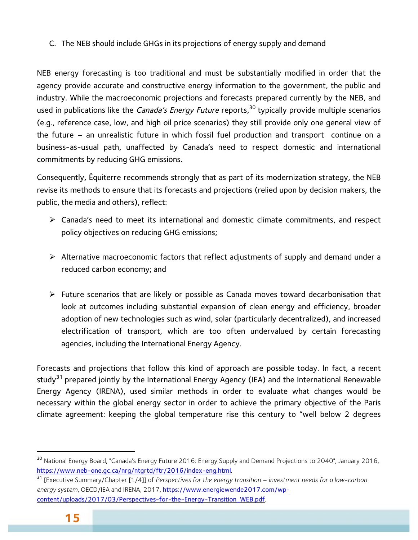C. The NEB should include GHGs in its projections of energy supply and demand

NEB energy forecasting is too traditional and must be substantially modified in order that the agency provide accurate and constructive energy information to the government, the public and industry. While the macroeconomic projections and forecasts prepared currently by the NEB, and used in publications like the *Canada's Energy Future* reports,<sup>30</sup> typically provide multiple scenarios (e.g., reference case, low, and high oil price scenarios) they still provide only one general view of the future – an unrealistic future in which fossil fuel production and transport continue on a business-as-usual path, unaffected by Canada's need to respect domestic and international commitments by reducing GHG emissions.

Consequently, Équiterre recommends strongly that as part of its modernization strategy, the NEB revise its methods to ensure that its forecasts and projections (relied upon by decision makers, the public, the media and others), reflect:

- $\triangleright$  Canada's need to meet its international and domestic climate commitments, and respect policy objectives on reducing GHG emissions;
- $\triangleright$  Alternative macroeconomic factors that reflect adjustments of supply and demand under a reduced carbon economy; and
- $\triangleright$  Future scenarios that are likely or possible as Canada moves toward decarbonisation that look at outcomes including substantial expansion of clean energy and efficiency, broader adoption of new technologies such as wind, solar (particularly decentralized), and increased electrification of transport, which are too often undervalued by certain forecasting agencies, including the International Energy Agency.

Forecasts and projections that follow this kind of approach are possible today. In fact, a recent study<sup>31</sup> prepared jointly by the International Energy Agency (IEA) and the International Renewable Energy Agency (IRENA), used similar methods in order to evaluate what changes would be necessary within the global energy sector in order to achieve the primary objective of the Paris climate agreement: keeping the global temperature rise this century to "well below 2 degrees

<sup>&</sup>lt;sup>30</sup> National Energy Board, "Canada's Energy Future 2016: Energy Supply and Demand Projections to 2040", January 2016, https://www.neb-one.gc.ca/nrg/ntgrtd/ftr/2016/index-eng.html.

<sup>31</sup> [Executive Summary/Chapter [1/4]] of *Perspectives for the energy transition – investment needs for a low-carbon energy system*, OECD/IEA and IRENA, 2017, https://www.energiewende2017.com/wpcontent/uploads/2017/03/Perspectives-for-the-Energy-Transition\_WEB.pdf.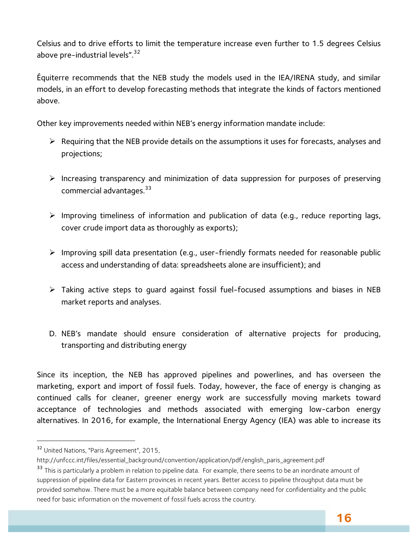Celsius and to drive efforts to limit the temperature increase even further to 1.5 degrees Celsius above pre-industrial levels".<sup>32</sup>

Équiterre recommends that the NEB study the models used in the IEA/IRENA study, and similar models, in an effort to develop forecasting methods that integrate the kinds of factors mentioned above.

Other key improvements needed within NEB's energy information mandate include:

- $\triangleright$  Requiring that the NEB provide details on the assumptions it uses for forecasts, analyses and projections;
- $\triangleright$  Increasing transparency and minimization of data suppression for purposes of preserving commercial advantages.33
- $\triangleright$  Improving timeliness of information and publication of data (e.g., reduce reporting lags, cover crude import data as thoroughly as exports);
- $\triangleright$  Improving spill data presentation (e.g., user-friendly formats needed for reasonable public access and understanding of data: spreadsheets alone are insufficient); and
- $\triangleright$  Taking active steps to quard against fossil fuel-focused assumptions and biases in NEB market reports and analyses.
- D. NEB's mandate should ensure consideration of alternative projects for producing, transporting and distributing energy

Since its inception, the NEB has approved pipelines and powerlines, and has overseen the marketing, export and import of fossil fuels. Today, however, the face of energy is changing as continued calls for cleaner, greener energy work are successfully moving markets toward acceptance of technologies and methods associated with emerging low-carbon energy alternatives. In 2016, for example, the International Energy Agency (IEA) was able to increase its

<sup>32</sup> United Nations, "Paris Agreement", 2015,

http://unfccc.int/files/essential\_background/convention/application/pdf/english\_paris\_agreement.pdf

<sup>&</sup>lt;sup>33</sup> This is particularly a problem in relation to pipeline data. For example, there seems to be an inordinate amount of suppression of pipeline data for Eastern provinces in recent years. Better access to pipeline throughput data must be provided somehow. There must be a more equitable balance between company need for confidentiality and the public need for basic information on the movement of fossil fuels across the country.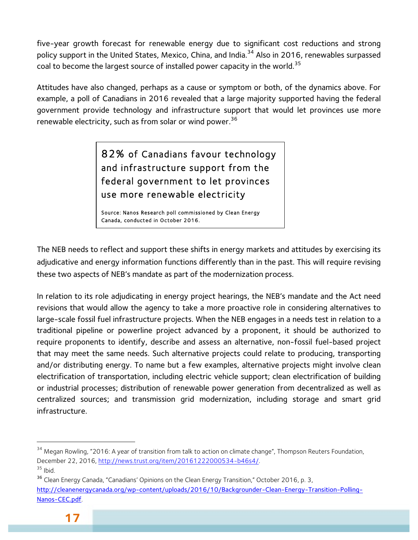five-year growth forecast for renewable energy due to significant cost reductions and strong policy support in the United States, Mexico, China, and India.<sup>34</sup> Also in 2016, renewables surpassed coal to become the largest source of installed power capacity in the world.<sup>35</sup>

Attitudes have also changed, perhaps as a cause or symptom or both, of the dynamics above. For example, a poll of Canadians in 2016 revealed that a large majority supported having the federal government provide technology and infrastructure support that would let provinces use more renewable electricity, such as from solar or wind power.<sup>36</sup>

> 82% of Canadians favour technology and infrastructure support from the federal government to let provinces use more renewable electricity

Source: Nanos Research poll commissioned by Clean Energy Canada, conducted in October 2016.

The NEB needs to reflect and support these shifts in energy markets and attitudes by exercising its adjudicative and energy information functions differently than in the past. This will require revising these two aspects of NEB's mandate as part of the modernization process.

In relation to its role adjudicating in energy project hearings, the NEB's mandate and the Act need revisions that would allow the agency to take a more proactive role in considering alternatives to large-scale fossil fuel infrastructure projects. When the NEB engages in a needs test in relation to a traditional pipeline or powerline project advanced by a proponent, it should be authorized to require proponents to identify, describe and assess an alternative, non-fossil fuel-based project that may meet the same needs. Such alternative projects could relate to producing, transporting and/or distributing energy. To name but a few examples, alternative projects might involve clean electrification of transportation, including electric vehicle support; clean electrification of building or industrial processes; distribution of renewable power generation from decentralized as well as centralized sources; and transmission grid modernization, including storage and smart grid infrastructure.

<sup>&</sup>lt;sup>34</sup> Megan Rowling, "2016: A year of transition from talk to action on climate change", Thompson Reuters Foundation, December 22, 2016, http://news.trust.org/item/20161222000534-b46s4/.

 $35$  Ibid.

<sup>&</sup>lt;sup>36</sup> Clean Energy Canada, "Canadians' Opinions on the Clean Energy Transition," October 2016, p. 3,

http://cleanenergycanada.org/wp-content/uploads/2016/10/Backgrounder-Clean-Energy-Transition-Polling-Nanos-CEC.pdf.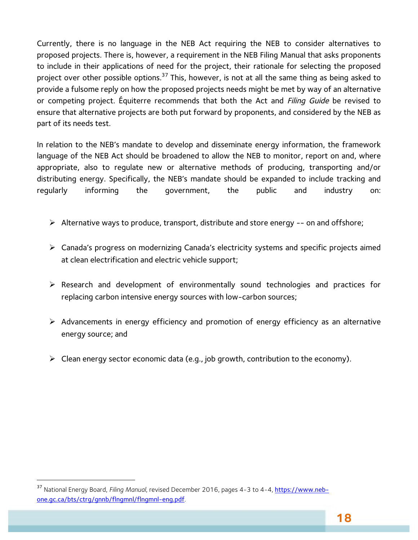Currently, there is no language in the NEB Act requiring the NEB to consider alternatives to proposed projects. There is, however, a requirement in the NEB Filing Manual that asks proponents to include in their applications of need for the project, their rationale for selecting the proposed project over other possible options.<sup>37</sup> This, however, is not at all the same thing as being asked to provide a fulsome reply on how the proposed projects needs might be met by way of an alternative or competing project. Équiterre recommends that both the Act and *Filing Guide* be revised to ensure that alternative projects are both put forward by proponents, and considered by the NEB as part of its needs test.

In relation to the NEB's mandate to develop and disseminate energy information, the framework language of the NEB Act should be broadened to allow the NEB to monitor, report on and, where appropriate, also to regulate new or alternative methods of producing, transporting and/or distributing energy. Specifically, the NEB's mandate should be expanded to include tracking and regularly informing the government, the public and industry on:

- $\triangleright$  Alternative ways to produce, transport, distribute and store energy -- on and offshore;
- Ø Canada's progress on modernizing Canada's electricity systems and specific projects aimed at clean electrification and electric vehicle support;
- Ø Research and development of environmentally sound technologies and practices for replacing carbon intensive energy sources with low-carbon sources;
- $\triangleright$  Advancements in energy efficiency and promotion of energy efficiency as an alternative energy source; and
- $\triangleright$  Clean energy sector economic data (e.g., job growth, contribution to the economy).

<sup>37</sup> National Energy Board, *Filing Manual*, revised December 2016, pages 4-3 to 4-4, https://www.nebone.gc.ca/bts/ctrg/gnnb/flngmnl/flngmnl-eng.pdf.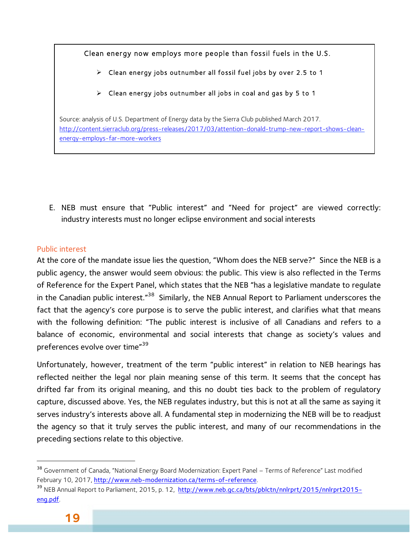Clean energy now employs more people than fossil fuels in the U.S.

 $\triangleright$  Clean energy jobs outnumber all fossil fuel jobs by over 2.5 to 1

 $\triangleright$  Clean energy jobs outnumber all jobs in coal and gas by 5 to 1

Source: analysis of U.S. Department of Energy data by the Sierra Club published March 2017. http://content.sierraclub.org/press-releases/2017/03/attention-donald-trump-new-report-shows-cleanenergy-employs-far-more-workers

E. NEB must ensure that "Public interest" and "Need for project" are viewed correctly: industry interests must no longer eclipse environment and social interests

#### Public interest

At the core of the mandate issue lies the question, "Whom does the NEB serve?" Since the NEB is a public agency, the answer would seem obvious: the public. This view is also reflected in the Terms of Reference for the Expert Panel, which states that the NEB "has a legislative mandate to regulate in the Canadian public interest."38 Similarly, the NEB Annual Report to Parliament underscores the fact that the agency's core purpose is to serve the public interest, and clarifies what that means with the following definition: "The public interest is inclusive of all Canadians and refers to a balance of economic, environmental and social interests that change as society's values and preferences evolve over time"<sup>39</sup>

Unfortunately, however, treatment of the term "public interest" in relation to NEB hearings has reflected neither the legal nor plain meaning sense of this term. It seems that the concept has drifted far from its original meaning, and this no doubt ties back to the problem of regulatory capture, discussed above. Yes, the NEB regulates industry, but this is not at all the same as saying it serves industry's interests above all. A fundamental step in modernizing the NEB will be to readjust the agency so that it truly serves the public interest, and many of our recommendations in the preceding sections relate to this objective.

 $\overline{\phantom{a}}$ 

<sup>&</sup>lt;sup>38</sup> Government of Canada, "National Energy Board Modernization: Expert Panel – Terms of Reference" Last modified February 10, 2017, http://www.neb-modernization.ca/terms-of-reference.

<sup>&</sup>lt;sup>39</sup> NEB Annual Report to Parliament, 2015, p. 12, http://www.neb.gc.ca/bts/pblctn/nnlrprt/2015/nnlrprt2015eng.pdf.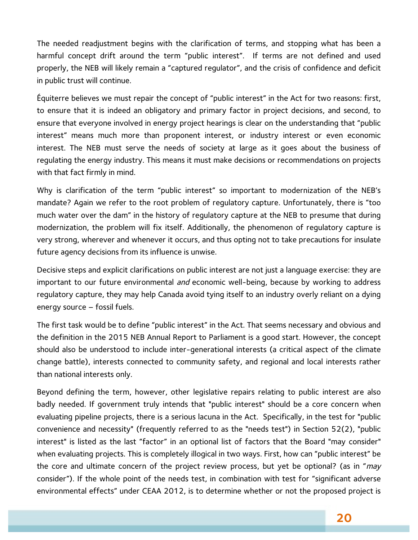The needed readjustment begins with the clarification of terms, and stopping what has been a harmful concept drift around the term "public interest". If terms are not defined and used properly, the NEB will likely remain a "captured regulator", and the crisis of confidence and deficit in public trust will continue.

Équiterre believes we must repair the concept of "public interest" in the Act for two reasons: first, to ensure that it is indeed an obligatory and primary factor in project decisions, and second, to ensure that everyone involved in energy project hearings is clear on the understanding that "public interest" means much more than proponent interest, or industry interest or even economic interest. The NEB must serve the needs of society at large as it goes about the business of regulating the energy industry. This means it must make decisions or recommendations on projects with that fact firmly in mind.

Why is clarification of the term "public interest" so important to modernization of the NEB's mandate? Again we refer to the root problem of regulatory capture. Unfortunately, there is "too much water over the dam" in the history of regulatory capture at the NEB to presume that during modernization, the problem will fix itself. Additionally, the phenomenon of regulatory capture is very strong, wherever and whenever it occurs, and thus opting not to take precautions for insulate future agency decisions from its influence is unwise.

Decisive steps and explicit clarifications on public interest are not just a language exercise: they are important to our future environmental *and* economic well-being, because by working to address regulatory capture, they may help Canada avoid tying itself to an industry overly reliant on a dying energy source – fossil fuels.

The first task would be to define "public interest" in the Act. That seems necessary and obvious and the definition in the 2015 NEB Annual Report to Parliament is a good start. However, the concept should also be understood to include inter-generational interests (a critical aspect of the climate change battle), interests connected to community safety, and regional and local interests rather than national interests only.

Beyond defining the term, however, other legislative repairs relating to public interest are also badly needed. If government truly intends that "public interest" should be a core concern when evaluating pipeline projects, there is a serious lacuna in the Act. Specifically, in the test for "public convenience and necessity" (frequently referred to as the "needs test") in Section 52(2), "public interest" is listed as the last "factor" in an optional list of factors that the Board "may consider" when evaluating projects. This is completely illogical in two ways. First, how can "public interest" be the core and ultimate concern of the project review process, but yet be optional? (as in " $may$ consider"). If the whole point of the needs test, in combination with test for "significant adverse environmental effects" under CEAA 2012, is to determine whether or not the proposed project is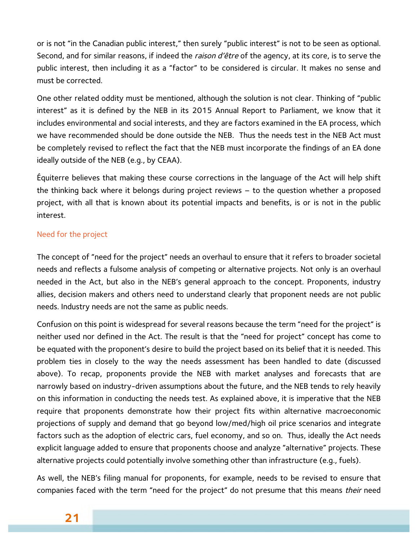or is not "in the Canadian public interest," then surely "public interest" is not to be seen as optional. Second, and for similar reasons, if indeed the raison d'être of the agency, at its core, is to serve the public interest, then including it as a "factor" to be considered is circular. It makes no sense and must be corrected.

One other related oddity must be mentioned, although the solution is not clear. Thinking of "public interest" as it is defined by the NEB in its 2015 Annual Report to Parliament, we know that it includes environmental and social interests, and they are factors examined in the EA process, which we have recommended should be done outside the NEB. Thus the needs test in the NEB Act must be completely revised to reflect the fact that the NEB must incorporate the findings of an EA done ideally outside of the NEB (e.g., by CEAA).

Équiterre believes that making these course corrections in the language of the Act will help shift the thinking back where it belongs during project reviews – to the question whether a proposed project, with all that is known about its potential impacts and benefits, is or is not in the public interest.

#### Need for the project

The concept of "need for the project" needs an overhaul to ensure that it refers to broader societal needs and reflects a fulsome analysis of competing or alternative projects. Not only is an overhaul needed in the Act, but also in the NEB's general approach to the concept. Proponents, industry allies, decision makers and others need to understand clearly that proponent needs are not public needs. Industry needs are not the same as public needs.

Confusion on this point is widespread for several reasons because the term "need for the project" is neither used nor defined in the Act. The result is that the "need for project" concept has come to be equated with the proponent's desire to build the project based on its belief that it is needed. This problem ties in closely to the way the needs assessment has been handled to date (discussed above). To recap, proponents provide the NEB with market analyses and forecasts that are narrowly based on industry-driven assumptions about the future, and the NEB tends to rely heavily on this information in conducting the needs test. As explained above, it is imperative that the NEB require that proponents demonstrate how their project fits within alternative macroeconomic projections of supply and demand that go beyond low/med/high oil price scenarios and integrate factors such as the adoption of electric cars, fuel economy, and so on. Thus, ideally the Act needs explicit language added to ensure that proponents choose and analyze "alternative" projects. These alternative projects could potentially involve something other than infrastructure (e.g., fuels).

As well, the NEB's filing manual for proponents, for example, needs to be revised to ensure that companies faced with the term "need for the project" do not presume that this means their need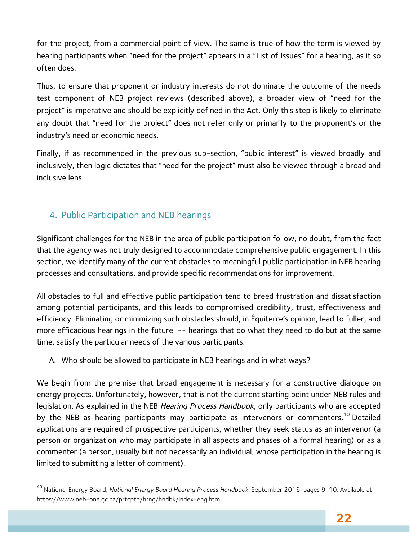for the project, from a commercial point of view. The same is true of how the term is viewed by hearing participants when "need for the project" appears in a "List of Issues" for a hearing, as it so often does.

Thus, to ensure that proponent or industry interests do not dominate the outcome of the needs test component of NEB project reviews (described above), a broader view of "need for the project" is imperative and should be explicitly defined in the Act. Only this step is likely to eliminate any doubt that "need for the project" does not refer only or primarily to the proponent's or the industry's need or economic needs.

Finally, if as recommended in the previous sub-section, "public interest" is viewed broadly and inclusively, then logic dictates that "need for the project" must also be viewed through a broad and inclusive lens.

## 4. Public Participation and NEB hearings

 $\overline{a}$ 

Significant challenges for the NEB in the area of public participation follow, no doubt, from the fact that the agency was not truly designed to accommodate comprehensive public engagement. In this section, we identify many of the current obstacles to meaningful public participation in NEB hearing processes and consultations, and provide specific recommendations for improvement.

All obstacles to full and effective public participation tend to breed frustration and dissatisfaction among potential participants, and this leads to compromised credibility, trust, effectiveness and efficiency. Eliminating or minimizing such obstacles should, in Équiterre's opinion, lead to fuller, and more efficacious hearings in the future -- hearings that do what they need to do but at the same time, satisfy the particular needs of the various participants.

A. Who should be allowed to participate in NEB hearings and in what ways?

We begin from the premise that broad engagement is necessary for a constructive dialogue on energy projects. Unfortunately, however, that is not the current starting point under NEB rules and legislation. As explained in the NEB Hearing Process Handbook, only participants who are accepted by the NEB as hearing participants may participate as intervenors or commenters.<sup>40</sup> Detailed applications are required of prospective participants, whether they seek status as an intervenor (a person or organization who may participate in all aspects and phases of a formal hearing) or as a commenter (a person, usually but not necessarily an individual, whose participation in the hearing is limited to submitting a letter of comment).

<sup>40</sup> National Energy Board, *National Energy Board Hearing Process Handbook,* September 2016, pages 9-10. Available at https://www.neb-one.gc.ca/prtcptn/hrng/hndbk/index-eng.html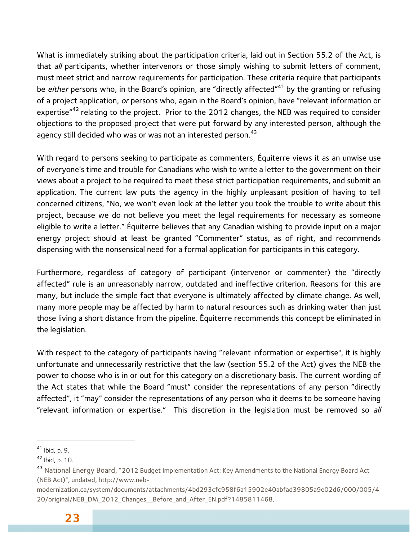What is immediately striking about the participation criteria, laid out in Section 55.2 of the Act, is that *all* participants, whether intervenors or those simply wishing to submit letters of comment, must meet strict and narrow requirements for participation. These criteria require that participants be either persons who, in the Board's opinion, are "directly affected"<sup>41</sup> by the granting or refusing of a project application, or persons who, again in the Board's opinion, have "relevant information or expertise"<sup>42</sup> relating to the project. Prior to the 2012 changes, the NEB was required to consider objections to the proposed project that were put forward by any interested person, although the agency still decided who was or was not an interested person.<sup>43</sup>

With regard to persons seeking to participate as commenters, Équiterre views it as an unwise use of everyone's time and trouble for Canadians who wish to write a letter to the government on their views about a project to be required to meet these strict participation requirements, and submit an application. The current law puts the agency in the highly unpleasant position of having to tell concerned citizens, "No, we won't even look at the letter you took the trouble to write about this project, because we do not believe you meet the legal requirements for necessary as someone eligible to write a letter." Équiterre believes that any Canadian wishing to provide input on a major energy project should at least be granted "Commenter" status, as of right, and recommends dispensing with the nonsensical need for a formal application for participants in this category.

Furthermore, regardless of category of participant (intervenor or commenter) the "directly affected" rule is an unreasonably narrow, outdated and ineffective criterion. Reasons for this are many, but include the simple fact that everyone is ultimately affected by climate change. As well, many more people may be affected by harm to natural resources such as drinking water than just those living a short distance from the pipeline. Équiterre recommends this concept be eliminated in the legislation.

With respect to the category of participants having "relevant information or expertise", it is highly unfortunate and unnecessarily restrictive that the law (section 55.2 of the Act) gives the NEB the power to choose who is in or out for this category on a discretionary basis. The current wording of the Act states that while the Board "must" consider the representations of any person "directly affected", it "may" consider the representations of any person who it deems to be someone having "relevant information or expertise." This discretion in the legislation must be removed so all

 $41$  Ibid, p. 9.

 $42$  Ibid, p. 10.

<sup>&</sup>lt;sup>43</sup> National Energy Board, "2012 Budget Implementation Act: Key Amendments to the National Energy Board Act (NEB Act)", undated, http://www.neb-

modernization.ca/system/documents/attachments/4bd293cfc958f6a15902e40abfad39805a9e02d6/000/005/4 20/original/NEB\_DM\_2012\_Changes\_\_Before\_and\_After\_EN.pdf?1485811468.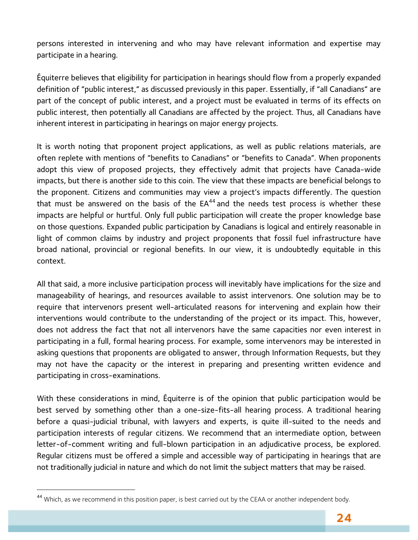persons interested in intervening and who may have relevant information and expertise may participate in a hearing.

Équiterre believes that eligibility for participation in hearings should flow from a properly expanded definition of "public interest," as discussed previously in this paper. Essentially, if "all Canadians" are part of the concept of public interest, and a project must be evaluated in terms of its effects on public interest, then potentially all Canadians are affected by the project. Thus, all Canadians have inherent interest in participating in hearings on major energy projects.

It is worth noting that proponent project applications, as well as public relations materials, are often replete with mentions of "benefits to Canadians" or "benefits to Canada". When proponents adopt this view of proposed projects, they effectively admit that projects have Canada-wide impacts, but there is another side to this coin. The view that these impacts are beneficial belongs to the proponent. Citizens and communities may view a project's impacts differently. The question that must be answered on the basis of the  $EA^{44}$  and the needs test process is whether these impacts are helpful or hurtful. Only full public participation will create the proper knowledge base on those questions. Expanded public participation by Canadians is logical and entirely reasonable in light of common claims by industry and project proponents that fossil fuel infrastructure have broad national, provincial or regional benefits. In our view, it is undoubtedly equitable in this context.

All that said, a more inclusive participation process will inevitably have implications for the size and manageability of hearings, and resources available to assist intervenors. One solution may be to require that intervenors present well-articulated reasons for intervening and explain how their interventions would contribute to the understanding of the project or its impact. This, however, does not address the fact that not all intervenors have the same capacities nor even interest in participating in a full, formal hearing process. For example, some intervenors may be interested in asking questions that proponents are obligated to answer, through Information Requests, but they may not have the capacity or the interest in preparing and presenting written evidence and participating in cross-examinations.

With these considerations in mind, Équiterre is of the opinion that public participation would be best served by something other than a one-size-fits-all hearing process. A traditional hearing before a quasi-judicial tribunal, with lawyers and experts, is quite ill-suited to the needs and participation interests of regular citizens. We recommend that an intermediate option, between letter-of-comment writing and full-blown participation in an adjudicative process, be explored. Regular citizens must be offered a simple and accessible way of participating in hearings that are not traditionally judicial in nature and which do not limit the subject matters that may be raised.

 $\overline{\phantom{a}}$ 

<sup>&</sup>lt;sup>44</sup> Which, as we recommend in this position paper, is best carried out by the CEAA or another independent body.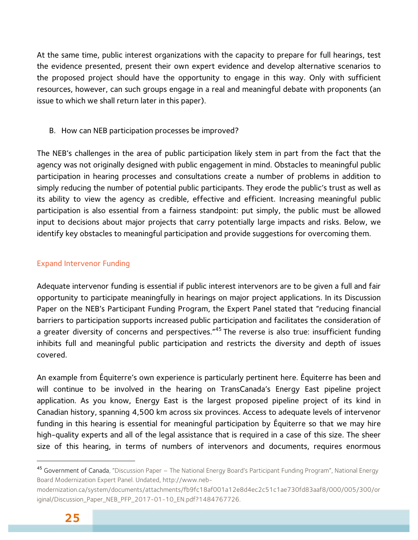At the same time, public interest organizations with the capacity to prepare for full hearings, test the evidence presented, present their own expert evidence and develop alternative scenarios to the proposed project should have the opportunity to engage in this way. Only with sufficient resources, however, can such groups engage in a real and meaningful debate with proponents (an issue to which we shall return later in this paper).

#### B. How can NEB participation processes be improved?

The NEB's challenges in the area of public participation likely stem in part from the fact that the agency was not originally designed with public engagement in mind. Obstacles to meaningful public participation in hearing processes and consultations create a number of problems in addition to simply reducing the number of potential public participants. They erode the public's trust as well as its ability to view the agency as credible, effective and efficient. Increasing meaningful public participation is also essential from a fairness standpoint: put simply, the public must be allowed input to decisions about major projects that carry potentially large impacts and risks. Below, we identify key obstacles to meaningful participation and provide suggestions for overcoming them.

#### Expand Intervenor Funding

Adequate intervenor funding is essential if public interest intervenors are to be given a full and fair opportunity to participate meaningfully in hearings on major project applications. In its Discussion Paper on the NEB's Participant Funding Program, the Expert Panel stated that "reducing financial barriers to participation supports increased public participation and facilitates the consideration of a greater diversity of concerns and perspectives."<sup>45</sup> The reverse is also true: insufficient funding inhibits full and meaningful public participation and restricts the diversity and depth of issues covered.

An example from Équiterre's own experience is particularly pertinent here. Équiterre has been and will continue to be involved in the hearing on TransCanada's Energy East pipeline project application. As you know, Energy East is the largest proposed pipeline project of its kind in Canadian history, spanning 4,500 km across six provinces. Access to adequate levels of intervenor funding in this hearing is essential for meaningful participation by Équiterre so that we may hire high-quality experts and all of the legal assistance that is required in a case of this size. The sheer size of this hearing, in terms of numbers of intervenors and documents, requires enormous

 $\overline{\phantom{a}}$ 

<sup>45</sup> Government of Canada, "Discussion Paper – The National Energy Board's Participant Funding Program", National Energy Board Modernization Expert Panel. Undated, http://www.neb-

modernization.ca/system/documents/attachments/fb9fc18af001a12e8d4ec2c51c1ae730fd83aaf8/000/005/300/or iginal/Discussion\_Paper\_NEB\_PFP\_2017-01-10\_EN.pdf?1484767726.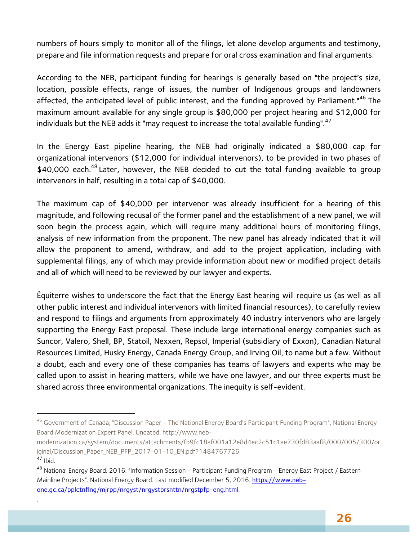numbers of hours simply to monitor all of the filings, let alone develop arguments and testimony, prepare and file information requests and prepare for oral cross examination and final arguments.

According to the NEB, participant funding for hearings is generally based on "the project's size, location, possible effects, range of issues, the number of Indigenous groups and landowners affected, the anticipated level of public interest, and the funding approved by Parliament."<sup>46</sup> The maximum amount available for any single group is \$80,000 per project hearing and \$12,000 for individuals but the NEB adds it "may request to increase the total available funding". $47$ 

In the Energy East pipeline hearing, the NEB had originally indicated a \$80,000 cap for organizational intervenors (\$12,000 for individual intervenors), to be provided in two phases of  $$40,000$  each.<sup>48</sup> Later, however, the NEB decided to cut the total funding available to group intervenors in half, resulting in a total cap of \$40,000.

The maximum cap of \$40,000 per intervenor was already insufficient for a hearing of this magnitude, and following recusal of the former panel and the establishment of a new panel, we will soon begin the process again, which will require many additional hours of monitoring filings, analysis of new information from the proponent. The new panel has already indicated that it will allow the proponent to amend, withdraw, and add to the project application, including with supplemental filings, any of which may provide information about new or modified project details and all of which will need to be reviewed by our lawyer and experts.

Équiterre wishes to underscore the fact that the Energy East hearing will require us (as well as all other public interest and individual intervenors with limited financial resources), to carefully review and respond to filings and arguments from approximately 40 industry intervenors who are largely supporting the Energy East proposal. These include large international energy companies such as Suncor, Valero, Shell, BP, Statoil, Nexxen, Repsol, Imperial (subsidiary of Exxon), Canadian Natural Resources Limited, Husky Energy, Canada Energy Group, and Irving Oil, to name but a few. Without a doubt, each and every one of these companies has teams of lawyers and experts who may be called upon to assist in hearing matters, while we have one lawyer, and our three experts must be shared across three environmental organizations. The inequity is self-evident.

.

<sup>&</sup>lt;sup>46</sup> Government of Canada, "Discussion Paper - The National Energy Board's Participant Funding Program", National Energy Board Modernization Expert Panel. Undated. http://www.neb-

modernization.ca/system/documents/attachments/fb9fc18af001a12e8d4ec2c51c1ae730fd83aaf8/000/005/300/or iginal/Discussion\_Paper\_NEB\_PFP\_2017-01-10\_EN.pdf?1484767726.

 $47$  Ibid.

<sup>48</sup> National Energy Board. 2016. "Information Session - Participant Funding Program - Energy East Project / Eastern Mainline Projects". National Energy Board. Last modified December 5, 2016. https://www.nebone.gc.ca/pplctnflng/mjrpp/nrgyst/nrgystprsnttn/nrgstpfp-eng.html.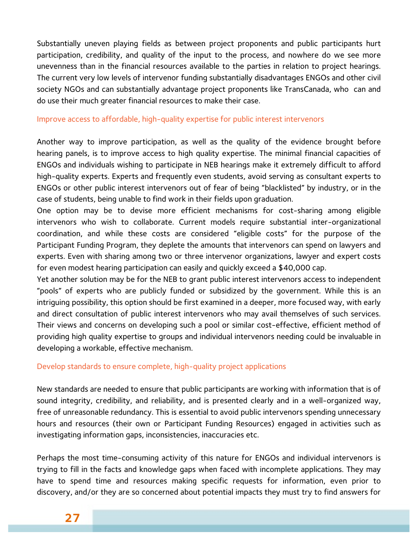Substantially uneven playing fields as between project proponents and public participants hurt participation, credibility, and quality of the input to the process, and nowhere do we see more unevenness than in the financial resources available to the parties in relation to project hearings. The current very low levels of intervenor funding substantially disadvantages ENGOs and other civil society NGOs and can substantially advantage project proponents like TransCanada, who can and do use their much greater financial resources to make their case.

#### Improve access to affordable, high-quality expertise for public interest intervenors

Another way to improve participation, as well as the quality of the evidence brought before hearing panels, is to improve access to high quality expertise. The minimal financial capacities of ENGOs and individuals wishing to participate in NEB hearings make it extremely difficult to afford high-quality experts. Experts and frequently even students, avoid serving as consultant experts to ENGOs or other public interest intervenors out of fear of being "blacklisted" by industry, or in the case of students, being unable to find work in their fields upon graduation.

One option may be to devise more efficient mechanisms for cost-sharing among eligible intervenors who wish to collaborate. Current models require substantial inter-organizational coordination, and while these costs are considered "eligible costs" for the purpose of the Participant Funding Program, they deplete the amounts that intervenors can spend on lawyers and experts. Even with sharing among two or three intervenor organizations, lawyer and expert costs for even modest hearing participation can easily and quickly exceed a \$40,000 cap.

Yet another solution may be for the NEB to grant public interest intervenors access to independent "pools" of experts who are publicly funded or subsidized by the government. While this is an intriguing possibility, this option should be first examined in a deeper, more focused way, with early and direct consultation of public interest intervenors who may avail themselves of such services. Their views and concerns on developing such a pool or similar cost-effective, efficient method of providing high quality expertise to groups and individual intervenors needing could be invaluable in developing a workable, effective mechanism.

#### Develop standards to ensure complete, high-quality project applications

New standards are needed to ensure that public participants are working with information that is of sound integrity, credibility, and reliability, and is presented clearly and in a well-organized way, free of unreasonable redundancy. This is essential to avoid public intervenors spending unnecessary hours and resources (their own or Participant Funding Resources) engaged in activities such as investigating information gaps, inconsistencies, inaccuracies etc.

Perhaps the most time-consuming activity of this nature for ENGOs and individual intervenors is trying to fill in the facts and knowledge gaps when faced with incomplete applications. They may have to spend time and resources making specific requests for information, even prior to discovery, and/or they are so concerned about potential impacts they must try to find answers for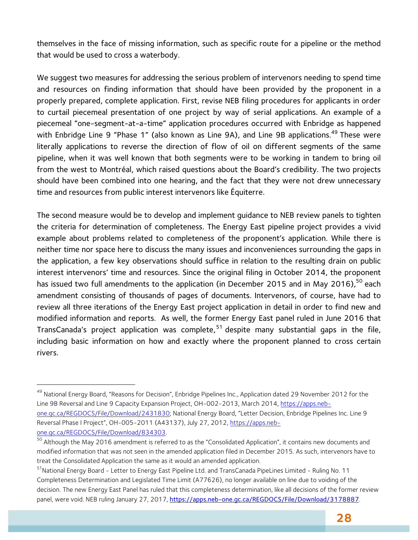themselves in the face of missing information, such as specific route for a pipeline or the method that would be used to cross a waterbody.

We suggest two measures for addressing the serious problem of intervenors needing to spend time and resources on finding information that should have been provided by the proponent in a properly prepared, complete application. First, revise NEB filing procedures for applicants in order to curtail piecemeal presentation of one project by way of serial applications. An example of a piecemeal "one-segment-at-a-time" application procedures occurred with Enbridge as happened with Enbridge Line 9 "Phase 1" (also known as Line 9A), and Line 9B applications.<sup>49</sup> These were literally applications to reverse the direction of flow of oil on different segments of the same pipeline, when it was well known that both segments were to be working in tandem to bring oil from the west to Montréal, which raised questions about the Board's credibility. The two projects should have been combined into one hearing, and the fact that they were not drew unnecessary time and resources from public interest intervenors like Équiterre.

The second measure would be to develop and implement guidance to NEB review panels to tighten the criteria for determination of completeness. The Energy East pipeline project provides a vivid example about problems related to completeness of the proponent's application. While there is neither time nor space here to discuss the many issues and inconveniences surrounding the gaps in the application, a few key observations should suffice in relation to the resulting drain on public interest intervenors' time and resources. Since the original filing in October 2014, the proponent has issued two full amendments to the application (in December 2015 and in May 2016),<sup>50</sup> each amendment consisting of thousands of pages of documents. Intervenors, of course, have had to review all three iterations of the Energy East project application in detail in order to find new and modified information and reports. As well, the former Energy East panel ruled in June 2016 that TransCanada's project application was complete,<sup>51</sup> despite many substantial gaps in the file, including basic information on how and exactly where the proponent planned to cross certain rivers.

<sup>&</sup>lt;sup>49</sup> National Energy Board, "Reasons for Decision", Enbridge Pipelines Inc., Application dated 29 November 2012 for the Line 9B Reversal and Line 9 Capacity Expansion Project, OH-002-2013, March 2014, https://apps.nebone.gc.ca/REGDOCS/File/Download/2431830; National Energy Board, "Letter Decision, Enbridge Pipelines Inc. Line 9 Reversal Phase I Project", OH-005-2011 (A43137), July 27, 2012, https://apps.nebone.gc.ca/REGDOCS/File/Download/834303.

<sup>&</sup>lt;sup>50</sup> Although the May 2016 amendment is referred to as the "Consolidated Application", it contains new documents and modified information that was not seen in the amended application filed in December 2015. As such, intervenors have to treat the Consolidated Application the same as it would an amended application.<br><sup>51</sup>National Energy Board - Letter to Energy East Pipeline Ltd. and TransCanada PipeLines Limited - Ruling No. 11

Completeness Determination and Legislated Time Limit (A77626), no longer available on line due to voiding of the decision. The new Energy East Panel has ruled that this completeness determination, like all decisions of the former review panel, were void. NEB ruling January 27, 2017, https://apps.neb-one.gc.ca/REGDOCS/File/Download/3178887.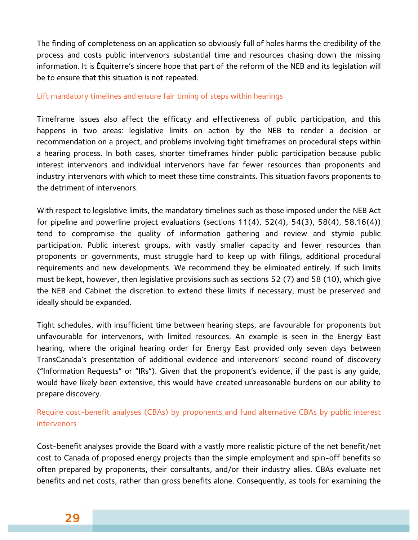The finding of completeness on an application so obviously full of holes harms the credibility of the process and costs public intervenors substantial time and resources chasing down the missing information. It is Équiterre's sincere hope that part of the reform of the NEB and its legislation will be to ensure that this situation is not repeated.

#### Lift mandatory timelines and ensure fair timing of steps within hearings

Timeframe issues also affect the efficacy and effectiveness of public participation, and this happens in two areas: legislative limits on action by the NEB to render a decision or recommendation on a project, and problems involving tight timeframes on procedural steps within a hearing process. In both cases, shorter timeframes hinder public participation because public interest intervenors and individual intervenors have far fewer resources than proponents and industry intervenors with which to meet these time constraints. This situation favors proponents to the detriment of intervenors.

With respect to legislative limits, the mandatory timelines such as those imposed under the NEB Act for pipeline and powerline project evaluations (sections 11(4), 52(4), 54(3), 58(4), 58.16(4)) tend to compromise the quality of information gathering and review and stymie public participation. Public interest groups, with vastly smaller capacity and fewer resources than proponents or governments, must struggle hard to keep up with filings, additional procedural requirements and new developments. We recommend they be eliminated entirely. If such limits must be kept, however, then legislative provisions such as sections 52 (7) and 58 (10), which give the NEB and Cabinet the discretion to extend these limits if necessary, must be preserved and ideally should be expanded.

Tight schedules, with insufficient time between hearing steps, are favourable for proponents but unfavourable for intervenors, with limited resources. An example is seen in the Energy East hearing, where the original hearing order for Energy East provided only seven days between TransCanada's presentation of additional evidence and intervenors' second round of discovery ("Information Requests" or "IRs"). Given that the proponent's evidence, if the past is any guide, would have likely been extensive, this would have created unreasonable burdens on our ability to prepare discovery.

#### Require cost-benefit analyses (CBAs) by proponents and fund alternative CBAs by public interest intervenors

Cost-benefit analyses provide the Board with a vastly more realistic picture of the net benefit/net cost to Canada of proposed energy projects than the simple employment and spin-off benefits so often prepared by proponents, their consultants, and/or their industry allies. CBAs evaluate net benefits and net costs, rather than gross benefits alone. Consequently, as tools for examining the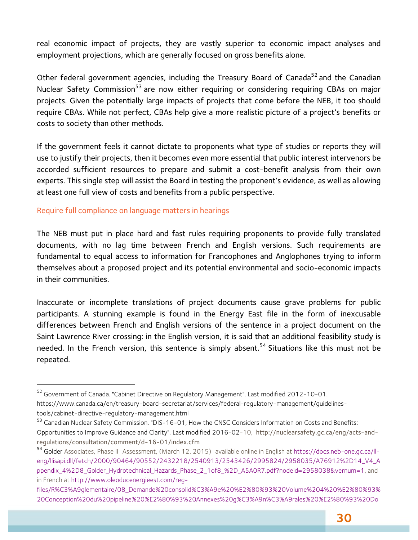real economic impact of projects, they are vastly superior to economic impact analyses and employment projections, which are generally focused on gross benefits alone.

Other federal government agencies, including the Treasury Board of Canada<sup>52</sup> and the Canadian Nuclear Safety Commission<sup>53</sup> are now either requiring or considering requiring CBAs on major projects. Given the potentially large impacts of projects that come before the NEB, it too should require CBAs. While not perfect, CBAs help give a more realistic picture of a project's benefits or costs to society than other methods.

If the government feels it cannot dictate to proponents what type of studies or reports they will use to justify their projects, then it becomes even more essential that public interest intervenors be accorded sufficient resources to prepare and submit a cost-benefit analysis from their own experts. This single step will assist the Board in testing the proponent's evidence, as well as allowing at least one full view of costs and benefits from a public perspective.

#### Require full compliance on language matters in hearings

The NEB must put in place hard and fast rules requiring proponents to provide fully translated documents, with no lag time between French and English versions. Such requirements are fundamental to equal access to information for Francophones and Anglophones trying to inform themselves about a proposed project and its potential environmental and socio-economic impacts in their communities.

Inaccurate or incomplete translations of project documents cause grave problems for public participants. A stunning example is found in the Energy East file in the form of inexcusable differences between French and English versions of the sentence in a project document on the Saint Lawrence River crossing: in the English version, it is said that an additional feasibility study is needed. In the French version, this sentence is simply absent.<sup>54</sup> Situations like this must not be repeated.

 <sup>52</sup> Government of Canada. "Cabinet Directive on Regulatory Management". Last modified 2012-10-01. https://www.canada.ca/en/treasury-board-secretariat/services/federal-regulatory-management/guidelinestools/cabinet-directive-regulatory-management.html

<sup>&</sup>lt;sup>53</sup> Canadian Nuclear Safety Commission. "DIS-16-01, How the CNSC Considers Information on Costs and Benefits: Opportunities to Improve Guidance and Clarity". Last modified 2016-02-10, http://nuclearsafety.gc.ca/eng/acts-andregulations/consultation/comment/d-16-01/index.cfm

<sup>54</sup> Golder Associates, Phase II Assessment, (March 12, 2015) available online in English at https://docs.neb-one.gc.ca/lleng/llisapi.dll/fetch/2000/90464/90552/2432218/2540913/2543426/2995824/2958035/A76912%2D14\_V4\_A ppendix\_4%2D8\_Golder\_Hydrotechnical\_Hazards\_Phase\_2\_1of8\_%2D\_A5A0R7.pdf?nodeid=2958038&vernum=1, and in French at http://www.oleoducenergieest.com/reg-

files/R%C3%A9glementaire/08\_Demande%20consolid%C3%A9e%20%E2%80%93%20Volume%204%20%E2%80%93% 20Conception%20du%20pipeline%20%E2%80%93%20Annexes%20g%C3%A9n%C3%A9rales%20%E2%80%93%20Do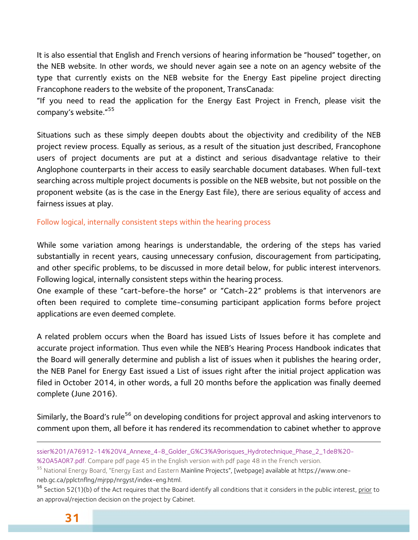It is also essential that English and French versions of hearing information be "housed" together, on the NEB website. In other words, we should never again see a note on an agency website of the type that currently exists on the NEB website for the Energy East pipeline project directing Francophone readers to the website of the proponent, TransCanada:

"If you need to read the application for the Energy East Project in French, please visit the company's website."<sup>55</sup>

Situations such as these simply deepen doubts about the objectivity and credibility of the NEB project review process. Equally as serious, as a result of the situation just described, Francophone users of project documents are put at a distinct and serious disadvantage relative to their Anglophone counterparts in their access to easily searchable document databases. When full-text searching across multiple project documents is possible on the NEB website, but not possible on the proponent website (as is the case in the Energy East file), there are serious equality of access and fairness issues at play.

Follow logical, internally consistent steps within the hearing process

While some variation among hearings is understandable, the ordering of the steps has varied substantially in recent years, causing unnecessary confusion, discouragement from participating, and other specific problems, to be discussed in more detail below, for public interest intervenors. Following logical, internally consistent steps within the hearing process.

One example of these "cart-before-the horse" or "Catch-22" problems is that intervenors are often been required to complete time-consuming participant application forms before project applications are even deemed complete.

A related problem occurs when the Board has issued Lists of Issues before it has complete and accurate project information. Thus even while the NEB's Hearing Process Handbook indicates that the Board will generally determine and publish a list of issues when it publishes the hearing order, the NEB Panel for Energy East issued a List of issues right after the initial project application was filed in October 2014, in other words, a full 20 months before the application was finally deemed complete (June 2016).

Similarly, the Board's rule<sup>56</sup> on developing conditions for project approval and asking intervenors to comment upon them, all before it has rendered its recommendation to cabinet whether to approve

<sup>56</sup> Section 52(1)(b) of the Act requires that the Board identify all conditions that it considers in the public interest, prior to an approval/rejection decision on the project by Cabinet.

ssier%201/A76912-14%20V4\_Annexe\_4-8\_Golder\_G%C3%A9orisques\_Hydrotechnique\_Phase\_2\_1de8%20-

<sup>%20</sup>A5A0R7.pdf. Compare pdf page 45 in the English version with pdf page 48 in the French version.

<sup>&</sup>lt;sup>55</sup> National Energy Board, "Energy East and Eastern Mainline Projects", [webpage] available at https://www.oneneb.gc.ca/pplctnflng/mjrpp/nrgyst/index-eng.html.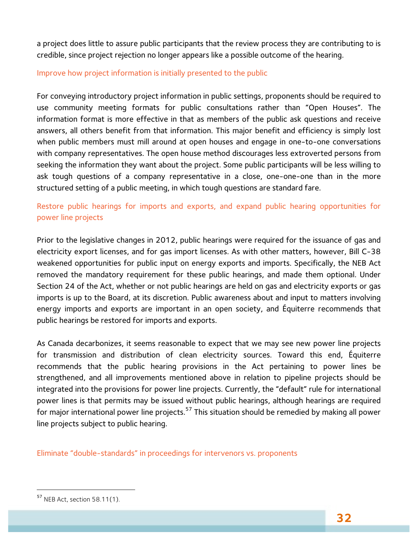a project does little to assure public participants that the review process they are contributing to is credible, since project rejection no longer appears like a possible outcome of the hearing.

#### Improve how project information is initially presented to the public

For conveying introductory project information in public settings, proponents should be required to use community meeting formats for public consultations rather than "Open Houses". The information format is more effective in that as members of the public ask questions and receive answers, all others benefit from that information. This major benefit and efficiency is simply lost when public members must mill around at open houses and engage in one-to-one conversations with company representatives. The open house method discourages less extroverted persons from seeking the information they want about the project. Some public participants will be less willing to ask tough questions of a company representative in a close, one-one-one than in the more structured setting of a public meeting, in which tough questions are standard fare.

#### Restore public hearings for imports and exports, and expand public hearing opportunities for power line projects

Prior to the legislative changes in 2012, public hearings were required for the issuance of gas and electricity export licenses, and for gas import licenses. As with other matters, however, Bill C-38 weakened opportunities for public input on energy exports and imports. Specifically, the NEB Act removed the mandatory requirement for these public hearings, and made them optional. Under Section 24 of the Act, whether or not public hearings are held on gas and electricity exports or gas imports is up to the Board, at its discretion. Public awareness about and input to matters involving energy imports and exports are important in an open society, and Équiterre recommends that public hearings be restored for imports and exports.

As Canada decarbonizes, it seems reasonable to expect that we may see new power line projects for transmission and distribution of clean electricity sources. Toward this end, Équiterre recommends that the public hearing provisions in the Act pertaining to power lines be strengthened, and all improvements mentioned above in relation to pipeline projects should be integrated into the provisions for power line projects. Currently, the "default" rule for international power lines is that permits may be issued without public hearings, although hearings are required for major international power line projects.<sup>57</sup> This situation should be remedied by making all power line projects subject to public hearing.

Eliminate "double-standards" in proceedings for intervenors vs. proponents

 $\overline{\phantom{a}}$ 

<sup>57</sup> NEB Act, section 58.11(1).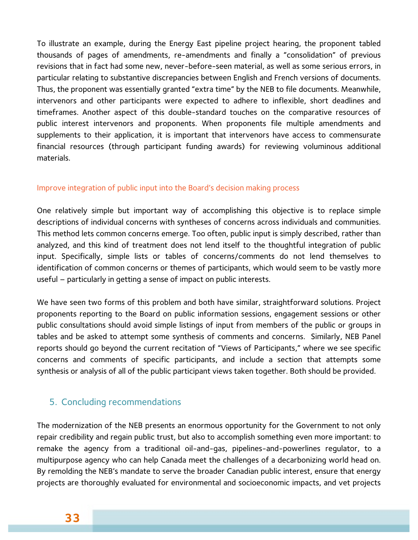To illustrate an example, during the Energy East pipeline project hearing, the proponent tabled thousands of pages of amendments, re-amendments and finally a "consolidation" of previous revisions that in fact had some new, never-before-seen material, as well as some serious errors, in particular relating to substantive discrepancies between English and French versions of documents. Thus, the proponent was essentially granted "extra time" by the NEB to file documents. Meanwhile, intervenors and other participants were expected to adhere to inflexible, short deadlines and timeframes. Another aspect of this double-standard touches on the comparative resources of public interest intervenors and proponents. When proponents file multiple amendments and supplements to their application, it is important that intervenors have access to commensurate financial resources (through participant funding awards) for reviewing voluminous additional materials.

#### Improve integration of public input into the Board's decision making process

One relatively simple but important way of accomplishing this objective is to replace simple descriptions of individual concerns with syntheses of concerns across individuals and communities. This method lets common concerns emerge. Too often, public input is simply described, rather than analyzed, and this kind of treatment does not lend itself to the thoughtful integration of public input. Specifically, simple lists or tables of concerns/comments do not lend themselves to identification of common concerns or themes of participants, which would seem to be vastly more useful – particularly in getting a sense of impact on public interests.

We have seen two forms of this problem and both have similar, straightforward solutions. Project proponents reporting to the Board on public information sessions, engagement sessions or other public consultations should avoid simple listings of input from members of the public or groups in tables and be asked to attempt some synthesis of comments and concerns. Similarly, NEB Panel reports should go beyond the current recitation of "Views of Participants," where we see specific concerns and comments of specific participants, and include a section that attempts some synthesis or analysis of all of the public participant views taken together. Both should be provided.

#### 5. Concluding recommendations

The modernization of the NEB presents an enormous opportunity for the Government to not only repair credibility and regain public trust, but also to accomplish something even more important: to remake the agency from a traditional oil-and-gas, pipelines-and-powerlines regulator, to a multipurpose agency who can help Canada meet the challenges of a decarbonizing world head on. By remolding the NEB's mandate to serve the broader Canadian public interest, ensure that energy projects are thoroughly evaluated for environmental and socioeconomic impacts, and vet projects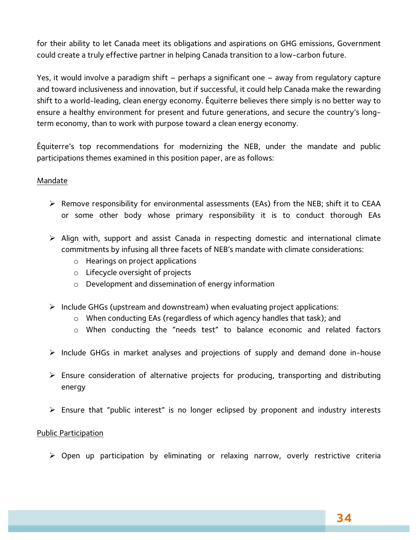for their ability to let Canada meet its obligations and aspirations on GHG emissions, Government could create a truly effective partner in helping Canada transition to a low-carbon future.

Yes, it would involve a paradigm shift – perhaps a significant one – away from regulatory capture and toward inclusiveness and innovation, but if successful, it could help Canada make the rewarding shift to a world-leading, clean energy economy. Équiterre believes there simply is no better way to ensure a healthy environment for present and future generations, and secure the country's longterm economy, than to work with purpose toward a clean energy economy.

Équiterre's top recommendations for modernizing the NEB, under the mandate and public participations themes examined in this position paper, are as follows:

#### Mandate

- $\triangleright$  Remove responsibility for environmental assessments (EAs) from the NEB; shift it to CEAA or some other body whose primary responsibility it is to conduct thorough EAs
- $\triangleright$  Align with, support and assist Canada in respecting domestic and international climate commitments by infusing all three facets of NEB's mandate with climate considerations:
	- o Hearings on project applications
	- o Lifecycle oversight of projects
	- o Development and dissemination of energy information
- $\triangleright$  Include GHGs (upstream and downstream) when evaluating project applications:
	- o When conducting EAs (regardless of which agency handles that task); and
	- o When conducting the "needs test" to balance economic and related factors
- $\triangleright$  Include GHGs in market analyses and projections of supply and demand done in-house
- $\triangleright$  Ensure consideration of alternative projects for producing, transporting and distributing energy
- $\triangleright$  Ensure that "public interest" is no longer eclipsed by proponent and industry interests

#### Public Participation

 $\triangleright$  Open up participation by eliminating or relaxing narrow, overly restrictive criteria